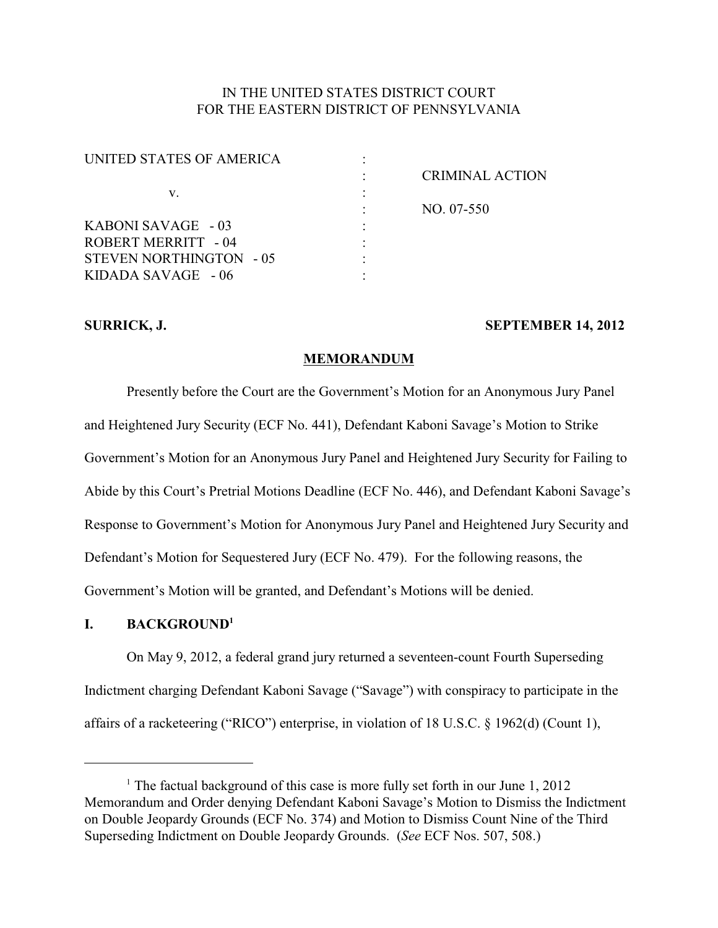# IN THE UNITED STATES DISTRICT COURT FOR THE EASTERN DISTRICT OF PENNSYLVANIA

| <b>CRIMINAL ACTION</b> |
|------------------------|
|                        |
| NO. 07-550             |
|                        |
|                        |
|                        |
|                        |
|                        |

## **SURRICK, J. SEPTEMBER 14, 2012**

## **MEMORANDUM**

Presently before the Court are the Government's Motion for an Anonymous Jury Panel and Heightened Jury Security (ECF No. 441), Defendant Kaboni Savage's Motion to Strike Government's Motion for an Anonymous Jury Panel and Heightened Jury Security for Failing to Abide by this Court's Pretrial Motions Deadline (ECF No. 446), and Defendant Kaboni Savage's Response to Government's Motion for Anonymous Jury Panel and Heightened Jury Security and Defendant's Motion for Sequestered Jury (ECF No. 479). For the following reasons, the Government's Motion will be granted, and Defendant's Motions will be denied.

# **I. BACKGROUND<sup>1</sup>**

On May 9, 2012, a federal grand jury returned a seventeen-count Fourth Superseding Indictment charging Defendant Kaboni Savage ("Savage") with conspiracy to participate in the affairs of a racketeering ("RICO") enterprise, in violation of 18 U.S.C. § 1962(d) (Count 1),

<sup>&</sup>lt;sup>1</sup> The factual background of this case is more fully set forth in our June  $1, 2012$ Memorandum and Order denying Defendant Kaboni Savage's Motion to Dismiss the Indictment on Double Jeopardy Grounds (ECF No. 374) and Motion to Dismiss Count Nine of the Third Superseding Indictment on Double Jeopardy Grounds. (*See* ECF Nos. 507, 508.)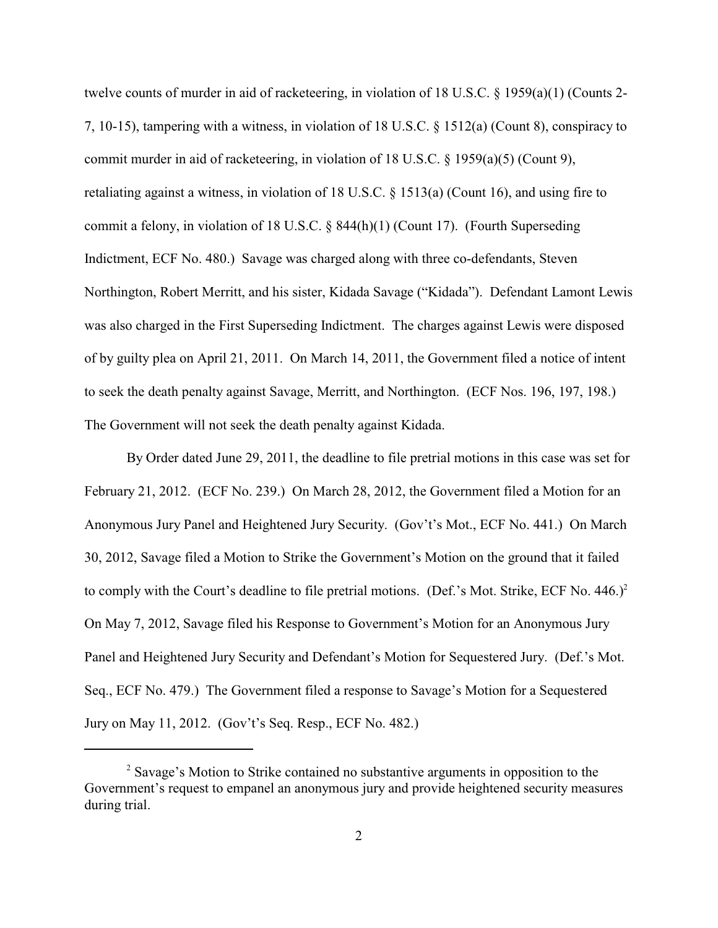twelve counts of murder in aid of racketeering, in violation of 18 U.S.C. § 1959(a)(1) (Counts 2- 7, 10-15), tampering with a witness, in violation of 18 U.S.C. § 1512(a) (Count 8), conspiracy to commit murder in aid of racketeering, in violation of 18 U.S.C.  $\S$  1959(a)(5) (Count 9), retaliating against a witness, in violation of 18 U.S.C. § 1513(a) (Count 16), and using fire to commit a felony, in violation of 18 U.S.C. § 844(h)(1) (Count 17). (Fourth Superseding Indictment, ECF No. 480.) Savage was charged along with three co-defendants, Steven Northington, Robert Merritt, and his sister, Kidada Savage ("Kidada"). Defendant Lamont Lewis was also charged in the First Superseding Indictment. The charges against Lewis were disposed of by guilty plea on April 21, 2011. On March 14, 2011, the Government filed a notice of intent to seek the death penalty against Savage, Merritt, and Northington. (ECF Nos. 196, 197, 198.) The Government will not seek the death penalty against Kidada.

By Order dated June 29, 2011, the deadline to file pretrial motions in this case was set for February 21, 2012. (ECF No. 239.) On March 28, 2012, the Government filed a Motion for an Anonymous Jury Panel and Heightened Jury Security. (Gov't's Mot., ECF No. 441.) On March 30, 2012, Savage filed a Motion to Strike the Government's Motion on the ground that it failed to comply with the Court's deadline to file pretrial motions. (Def.'s Mot. Strike, ECF No.  $446.$ )<sup>2</sup> On May 7, 2012, Savage filed his Response to Government's Motion for an Anonymous Jury Panel and Heightened Jury Security and Defendant's Motion for Sequestered Jury. (Def.'s Mot. Seq., ECF No. 479.) The Government filed a response to Savage's Motion for a Sequestered Jury on May 11, 2012. (Gov't's Seq. Resp., ECF No. 482.)

<sup>&</sup>lt;sup>2</sup> Savage's Motion to Strike contained no substantive arguments in opposition to the Government's request to empanel an anonymous jury and provide heightened security measures during trial.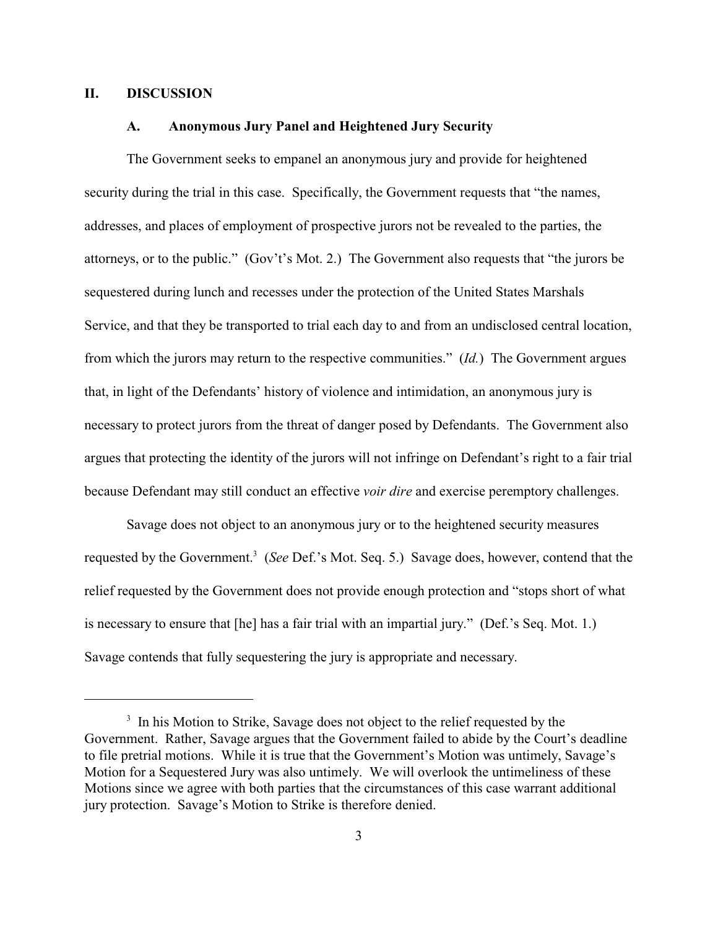## **II. DISCUSSION**

## **A. Anonymous Jury Panel and Heightened Jury Security**

The Government seeks to empanel an anonymous jury and provide for heightened security during the trial in this case. Specifically, the Government requests that "the names, addresses, and places of employment of prospective jurors not be revealed to the parties, the attorneys, or to the public." (Gov't's Mot. 2.) The Government also requests that "the jurors be sequestered during lunch and recesses under the protection of the United States Marshals Service, and that they be transported to trial each day to and from an undisclosed central location, from which the jurors may return to the respective communities." (*Id.*) The Government argues that, in light of the Defendants' history of violence and intimidation, an anonymous jury is necessary to protect jurors from the threat of danger posed by Defendants. The Government also argues that protecting the identity of the jurors will not infringe on Defendant's right to a fair trial because Defendant may still conduct an effective *voir dire* and exercise peremptory challenges.

Savage does not object to an anonymous jury or to the heightened security measures requested by the Government.<sup>3</sup> (*See Def.*'s Mot. Seq. 5.) Savage does, however, contend that the relief requested by the Government does not provide enough protection and "stops short of what is necessary to ensure that [he] has a fair trial with an impartial jury." (Def.'s Seq. Mot. 1.) Savage contends that fully sequestering the jury is appropriate and necessary.

<sup>&</sup>lt;sup>3</sup> In his Motion to Strike, Savage does not object to the relief requested by the Government. Rather, Savage argues that the Government failed to abide by the Court's deadline to file pretrial motions. While it is true that the Government's Motion was untimely, Savage's Motion for a Sequestered Jury was also untimely. We will overlook the untimeliness of these Motions since we agree with both parties that the circumstances of this case warrant additional jury protection. Savage's Motion to Strike is therefore denied.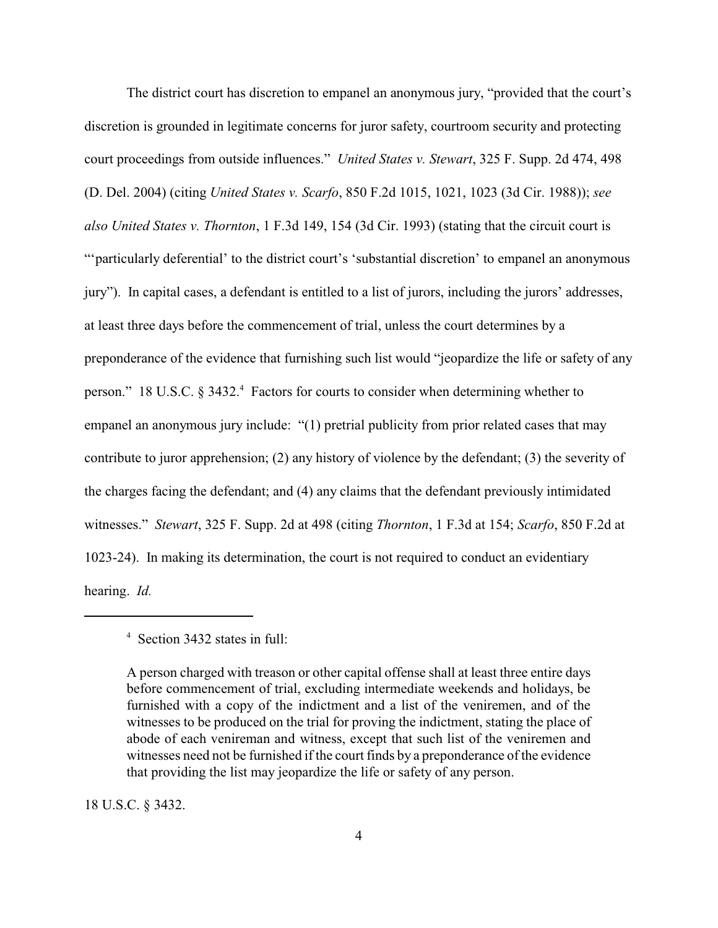The district court has discretion to empanel an anonymous jury, "provided that the court's discretion is grounded in legitimate concerns for juror safety, courtroom security and protecting court proceedings from outside influences." *United States v. Stewart*, 325 F. Supp. 2d 474, 498 (D. Del. 2004) (citing *United States v. Scarfo*, 850 F.2d 1015, 1021, 1023 (3d Cir. 1988)); *see also United States v. Thornton*, 1 F.3d 149, 154 (3d Cir. 1993) (stating that the circuit court is "'particularly deferential' to the district court's 'substantial discretion' to empanel an anonymous jury"). In capital cases, a defendant is entitled to a list of jurors, including the jurors' addresses, at least three days before the commencement of trial, unless the court determines by a preponderance of the evidence that furnishing such list would "jeopardize the life or safety of any person." 18 U.S.C.  $\S$  3432.<sup>4</sup> Factors for courts to consider when determining whether to empanel an anonymous jury include: "(1) pretrial publicity from prior related cases that may contribute to juror apprehension; (2) any history of violence by the defendant; (3) the severity of the charges facing the defendant; and (4) any claims that the defendant previously intimidated witnesses." *Stewart*, 325 F. Supp. 2d at 498 (citing *Thornton*, 1 F.3d at 154; *Scarfo*, 850 F.2d at 1023-24). In making its determination, the court is not required to conduct an evidentiary hearing. *Id.*

18 U.S.C. § 3432.

<sup>&</sup>lt;sup>4</sup> Section 3432 states in full:

A person charged with treason or other capital offense shall at least three entire days before commencement of trial, excluding intermediate weekends and holidays, be furnished with a copy of the indictment and a list of the veniremen, and of the witnesses to be produced on the trial for proving the indictment, stating the place of abode of each venireman and witness, except that such list of the veniremen and witnesses need not be furnished if the court finds by a preponderance of the evidence that providing the list may jeopardize the life or safety of any person.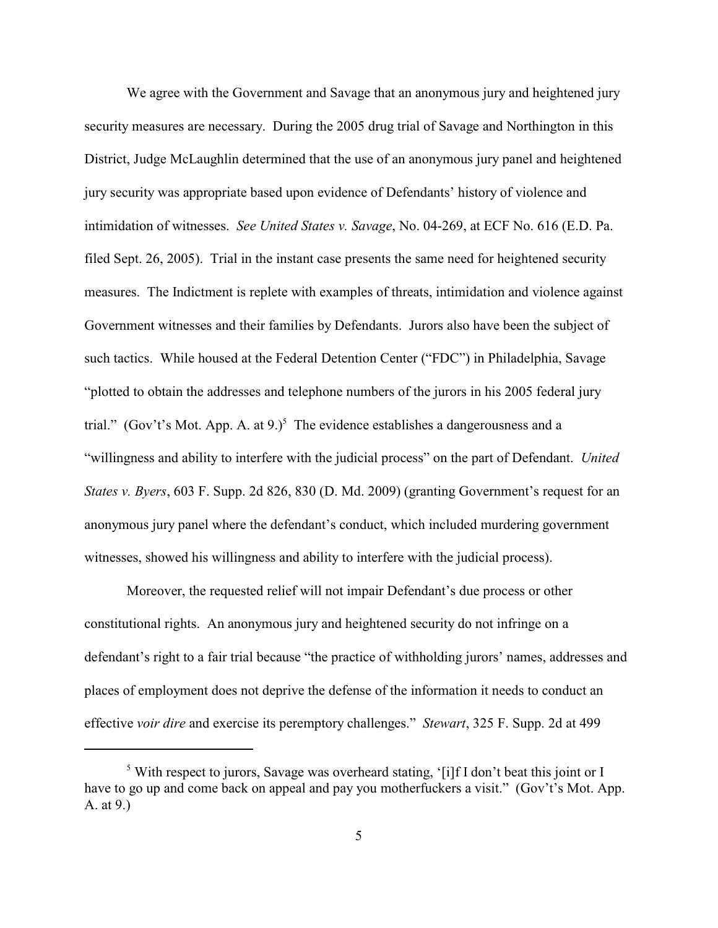We agree with the Government and Savage that an anonymous jury and heightened jury security measures are necessary. During the 2005 drug trial of Savage and Northington in this District, Judge McLaughlin determined that the use of an anonymous jury panel and heightened jury security was appropriate based upon evidence of Defendants' history of violence and intimidation of witnesses. *See United States v. Savage*, No. 04-269, at ECF No. 616 (E.D. Pa. filed Sept. 26, 2005). Trial in the instant case presents the same need for heightened security measures. The Indictment is replete with examples of threats, intimidation and violence against Government witnesses and their families by Defendants. Jurors also have been the subject of such tactics. While housed at the Federal Detention Center ("FDC") in Philadelphia, Savage "plotted to obtain the addresses and telephone numbers of the jurors in his 2005 federal jury trial." (Gov't's Mot. App. A. at 9.)<sup>5</sup> The evidence establishes a dangerousness and a "willingness and ability to interfere with the judicial process" on the part of Defendant. *United States v. Byers*, 603 F. Supp. 2d 826, 830 (D. Md. 2009) (granting Government's request for an anonymous jury panel where the defendant's conduct, which included murdering government witnesses, showed his willingness and ability to interfere with the judicial process).

Moreover, the requested relief will not impair Defendant's due process or other constitutional rights. An anonymous jury and heightened security do not infringe on a defendant's right to a fair trial because "the practice of withholding jurors' names, addresses and places of employment does not deprive the defense of the information it needs to conduct an effective *voir dire* and exercise its peremptory challenges." *Stewart*, 325 F. Supp. 2d at 499

<sup>&</sup>lt;sup>5</sup> With respect to jurors, Savage was overheard stating, '[i]f I don't beat this joint or I have to go up and come back on appeal and pay you motherfuckers a visit." (Gov't's Mot. App. A. at 9.)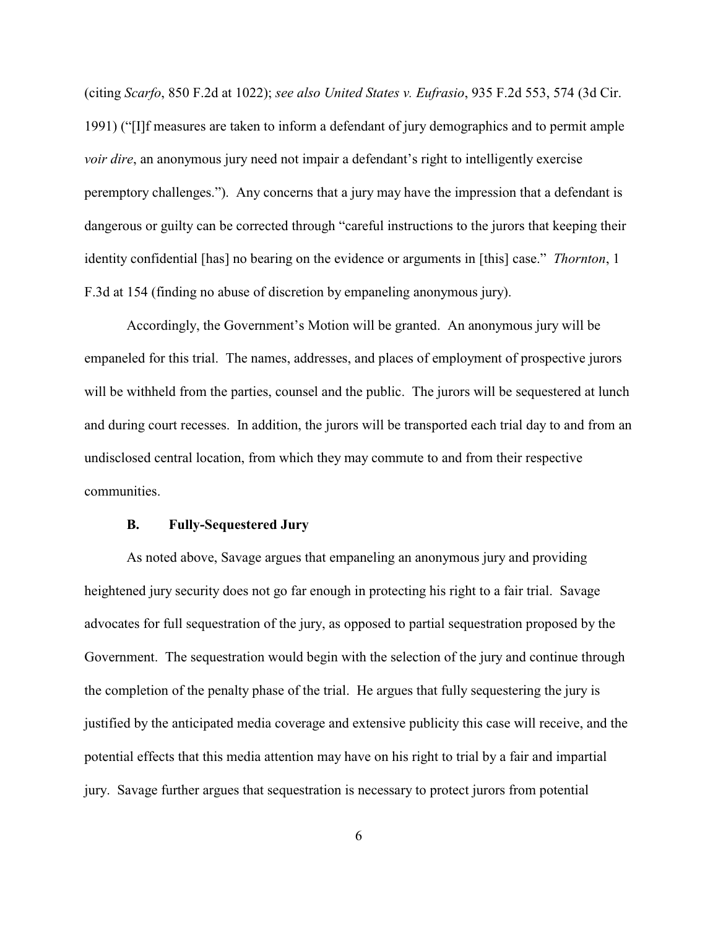(citing *Scarfo*, 850 F.2d at 1022); *see also United States v. Eufrasio*, 935 F.2d 553, 574 (3d Cir. 1991) ("[I]f measures are taken to inform a defendant of jury demographics and to permit ample *voir dire*, an anonymous jury need not impair a defendant's right to intelligently exercise peremptory challenges."). Any concerns that a jury may have the impression that a defendant is dangerous or guilty can be corrected through "careful instructions to the jurors that keeping their identity confidential [has] no bearing on the evidence or arguments in [this] case." *Thornton*, 1 F.3d at 154 (finding no abuse of discretion by empaneling anonymous jury).

Accordingly, the Government's Motion will be granted. An anonymous jury will be empaneled for this trial. The names, addresses, and places of employment of prospective jurors will be withheld from the parties, counsel and the public. The jurors will be sequestered at lunch and during court recesses. In addition, the jurors will be transported each trial day to and from an undisclosed central location, from which they may commute to and from their respective communities.

## **B. Fully-Sequestered Jury**

As noted above, Savage argues that empaneling an anonymous jury and providing heightened jury security does not go far enough in protecting his right to a fair trial. Savage advocates for full sequestration of the jury, as opposed to partial sequestration proposed by the Government. The sequestration would begin with the selection of the jury and continue through the completion of the penalty phase of the trial. He argues that fully sequestering the jury is justified by the anticipated media coverage and extensive publicity this case will receive, and the potential effects that this media attention may have on his right to trial by a fair and impartial jury. Savage further argues that sequestration is necessary to protect jurors from potential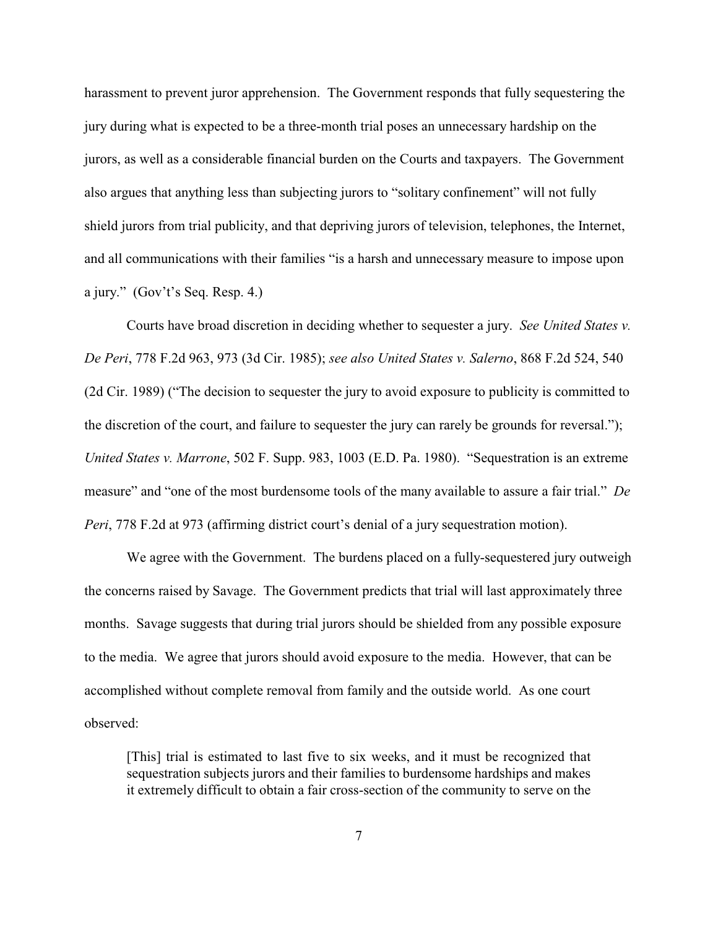harassment to prevent juror apprehension. The Government responds that fully sequestering the jury during what is expected to be a three-month trial poses an unnecessary hardship on the jurors, as well as a considerable financial burden on the Courts and taxpayers. The Government also argues that anything less than subjecting jurors to "solitary confinement" will not fully shield jurors from trial publicity, and that depriving jurors of television, telephones, the Internet, and all communications with their families "is a harsh and unnecessary measure to impose upon a jury." (Gov't's Seq. Resp. 4.)

Courts have broad discretion in deciding whether to sequester a jury. *See United States v. De Peri*, 778 F.2d 963, 973 (3d Cir. 1985); *see also United States v. Salerno*, 868 F.2d 524, 540 (2d Cir. 1989) ("The decision to sequester the jury to avoid exposure to publicity is committed to the discretion of the court, and failure to sequester the jury can rarely be grounds for reversal."); *United States v. Marrone*, 502 F. Supp. 983, 1003 (E.D. Pa. 1980). "Sequestration is an extreme measure" and "one of the most burdensome tools of the many available to assure a fair trial." *De Peri*, 778 F.2d at 973 (affirming district court's denial of a jury sequestration motion).

We agree with the Government. The burdens placed on a fully-sequestered jury outweigh the concerns raised by Savage. The Government predicts that trial will last approximately three months. Savage suggests that during trial jurors should be shielded from any possible exposure to the media. We agree that jurors should avoid exposure to the media. However, that can be accomplished without complete removal from family and the outside world. As one court observed:

[This] trial is estimated to last five to six weeks, and it must be recognized that sequestration subjects jurors and their families to burdensome hardships and makes it extremely difficult to obtain a fair cross-section of the community to serve on the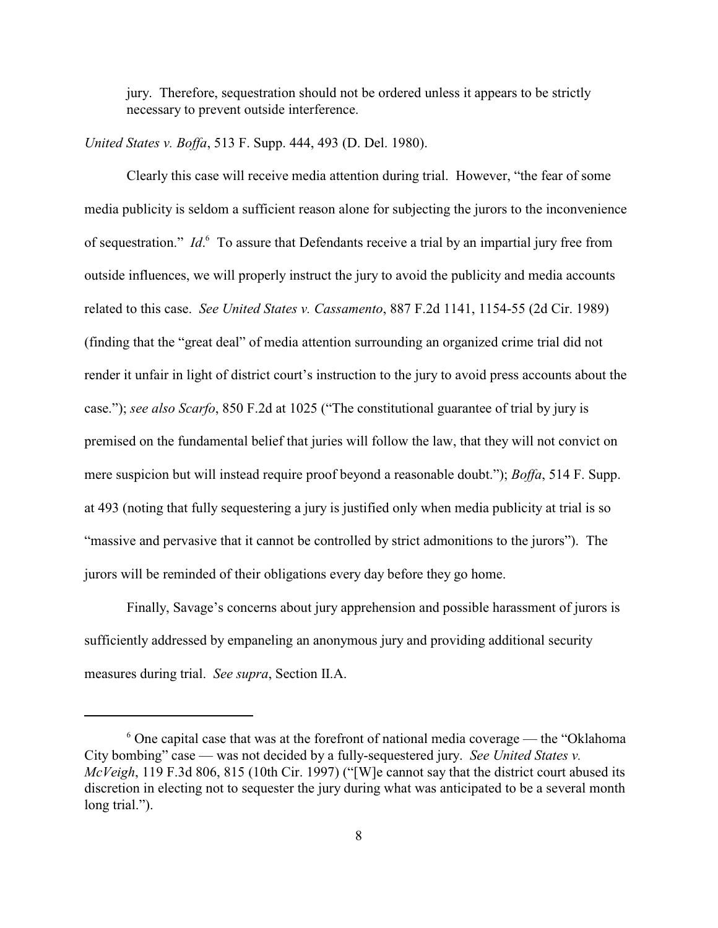jury. Therefore, sequestration should not be ordered unless it appears to be strictly necessary to prevent outside interference.

*United States v. Boffa*, 513 F. Supp. 444, 493 (D. Del. 1980).

Clearly this case will receive media attention during trial. However, "the fear of some media publicity is seldom a sufficient reason alone for subjecting the jurors to the inconvenience of sequestration." *Id*. To assure that Defendants receive a trial by an impartial jury free from outside influences, we will properly instruct the jury to avoid the publicity and media accounts related to this case. *See United States v. Cassamento*, 887 F.2d 1141, 1154-55 (2d Cir. 1989) (finding that the "great deal" of media attention surrounding an organized crime trial did not render it unfair in light of district court's instruction to the jury to avoid press accounts about the case."); *see also Scarfo*, 850 F.2d at 1025 ("The constitutional guarantee of trial by jury is premised on the fundamental belief that juries will follow the law, that they will not convict on mere suspicion but will instead require proof beyond a reasonable doubt."); *Boffa*, 514 F. Supp. at 493 (noting that fully sequestering a jury is justified only when media publicity at trial is so "massive and pervasive that it cannot be controlled by strict admonitions to the jurors"). The jurors will be reminded of their obligations every day before they go home.

Finally, Savage's concerns about jury apprehension and possible harassment of jurors is sufficiently addressed by empaneling an anonymous jury and providing additional security measures during trial. *See supra*, Section II.A.

 $\delta$  One capital case that was at the forefront of national media coverage — the "Oklahoma" City bombing" case — was not decided by a fully-sequestered jury. *See United States v. McVeigh*, 119 F.3d 806, 815 (10th Cir. 1997) ("[W]e cannot say that the district court abused its discretion in electing not to sequester the jury during what was anticipated to be a several month long trial.").